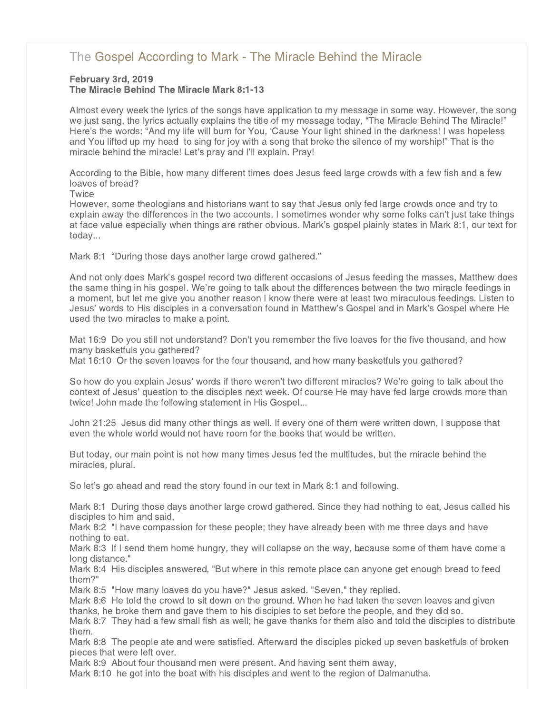## [The Gospel According to Mark - The Miracle Behind the Miracle](http://www.northshorechurch.net/resources/sermons/sermon-notes/436-the-gospel-according-to-mark-the-miracle-behind-the-miracle)

## February 3rd, 2019 The Miracle Behind The Miracle Mark 8:1-13

Almost every week the lyrics of the songs have application to my message in some way. However, the song we just sang, the lyrics actually explains the title of my message today, "The Miracle Behind The Miracle!" Here's the words: "And my life will burn for You, 'Cause Your light shined in the darkness! I was hopeless and You lifted up my head to sing for joy with a song that broke the silence of my worship!" That is the miracle behind the miracle! Let's pray and I'll explain. Pray!

According to the Bible, how many different times does Jesus feed large crowds with a few fish and a few loaves of bread?

**Twice** 

However, some theologians and historians want to say that Jesus only fed large crowds once and try to explain away the differences in the two accounts. I sometimes wonder why some folks can't just take things at face value especially when things are rather obvious. Mark's gospel plainly states in Mark 8:1, our text for today...

Mark 8:1 "During those days another large crowd gathered."

And not only does Mark's gospel record two different occasions of Jesus feeding the masses, Matthew does the same thing in his gospel. We're going to talk about the differences between the two miracle feedings in a moment, but let me give you another reason I know there were at least two miraculous feedings. Listen to Jesus' words to His disciples in a conversation found in Matthew's Gospel and in Mark's Gospel where He used the two miracles to make a point.

Mat 16:9 Do you still not understand? Don't you remember the five loaves for the five thousand, and how many basketfuls you gathered?

Mat 16:10 Or the seven loaves for the four thousand, and how many basketfuls you gathered?

So how do you explain Jesus' words if there weren't two different miracles? We're going to talk about the context of Jesus' question to the disciples next week. Of course He may have fed large crowds more than twice! John made the following statement in His Gospel...

John 21:25 Jesus did many other things as well. If every one of them were written down, I suppose that even the whole world would not have room for the books that would be written.

But today, our main point is not how many times Jesus fed the multitudes, but the miracle behind the miracles, plural.

So let's go ahead and read the story found in our text in Mark 8:1 and following.

Mark 8:1 During those days another large crowd gathered. Since they had nothing to eat, Jesus called his disciples to him and said,

Mark 8:2 "I have compassion for these people; they have already been with me three days and have nothing to eat.

Mark 8:3 If I send them home hungry, they will collapse on the way, because some of them have come a long distance."

Mark 8:4 His disciples answered, "But where in this remote place can anyone get enough bread to feed them?"

Mark 8:5 "How many loaves do you have?" Jesus asked. "Seven," they replied.

Mark 8:6 He told the crowd to sit down on the ground. When he had taken the seven loaves and given thanks, he broke them and gave them to his disciples to set before the people, and they did so.

Mark 8:7 They had a few small fish as well; he gave thanks for them also and told the disciples to distribute them.

Mark 8:8 The people ate and were satisfied. Afterward the disciples picked up seven basketfuls of broken pieces that were left over.

Mark 8:9 About four thousand men were present. And having sent them away,

Mark 8:10 he got into the boat with his disciples and went to the region of Dalmanutha.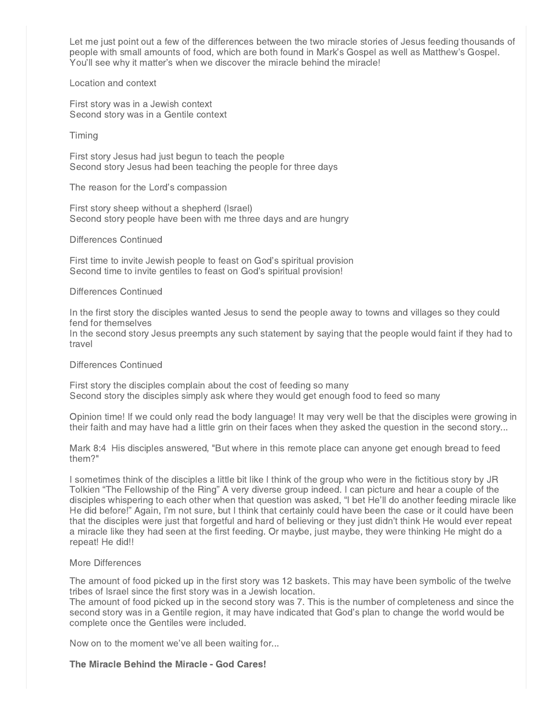Let me just point out a few of the differences between the two miracle stories of Jesus feeding thousands of people with small amounts of food, which are both found in Mark's Gospel as well as Matthew's Gospel. You'll see why it matter's when we discover the miracle behind the miracle!

Location and context

First story was in a Jewish context Second story was in a Gentile context

Timing

First story Jesus had just begun to teach the people Second story Jesus had been teaching the people for three days

The reason for the Lord's compassion

First story sheep without a shepherd (Israel) Second story people have been with me three days and are hungry

Differences Continued

First time to invite Jewish people to feast on God's spiritual provision Second time to invite gentiles to feast on God's spiritual provision!

Differences Continued

In the first story the disciples wanted Jesus to send the people away to towns and villages so they could fend for themselves

In the second story Jesus preempts any such statement by saying that the people would faint if they had to travel

Differences Continued

First story the disciples complain about the cost of feeding so many Second story the disciples simply ask where they would get enough food to feed so many

Opinion time! If we could only read the body language! It may very well be that the disciples were growing in their faith and may have had a little grin on their faces when they asked the question in the second story...

Mark 8:4 His disciples answered, "But where in this remote place can anyone get enough bread to feed them?"

I sometimes think of the disciples a little bit like I think of the group who were in the fictitious story by JR Tolkien "The Fellowship of the Ring" A very diverse group indeed. I can picture and hear a couple of the disciples whispering to each other when that question was asked, "I bet He'll do another feeding miracle like He did before!" Again, I'm not sure, but I think that certainly could have been the case or it could have been that the disciples were just that forgetful and hard of believing or they just didn't think He would ever repeat a miracle like they had seen at the first feeding. Or maybe, just maybe, they were thinking He might do a repeat! He did!!

## More Differences

The amount of food picked up in the first story was 12 baskets. This may have been symbolic of the twelve tribes of Israel since the first story was in a Jewish location.

The amount of food picked up in the second story was 7. This is the number of completeness and since the second story was in a Gentile region, it may have indicated that God's plan to change the world would be complete once the Gentiles were included.

Now on to the moment we've all been waiting for...

The Miracle Behind the Miracle - God Cares!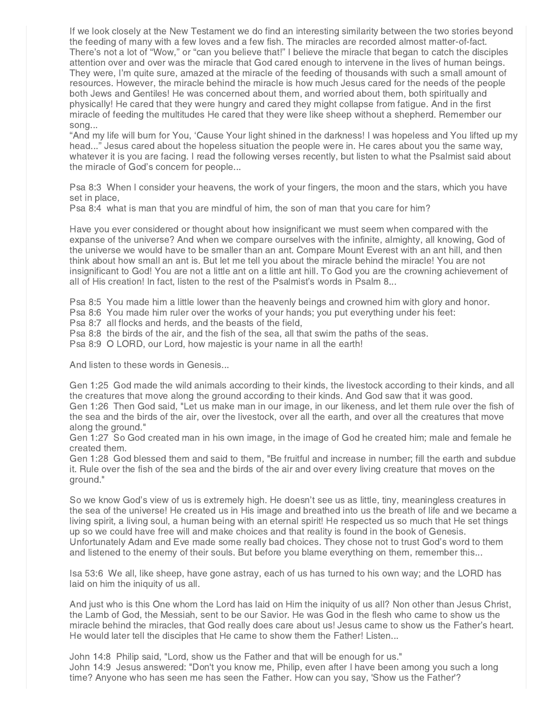If we look closely at the New Testament we do find an interesting similarity between the two stories beyond the feeding of many with a few loves and a few fish. The miracles are recorded almost matter-of-fact. There's not a lot of "Wow," or "can you believe that!" I believe the miracle that began to catch the disciples attention over and over was the miracle that God cared enough to intervene in the lives of human beings. They were, I'm quite sure, amazed at the miracle of the feeding of thousands with such a small amount of resources. However, the miracle behind the miracle is how much Jesus cared for the needs of the people both Jews and Gentiles! He was concerned about them, and worried about them, both spiritually and physically! He cared that they were hungry and cared they might collapse from fatigue. And in the first miracle of feeding the multitudes He cared that they were like sheep without a shepherd. Remember our song...

"And my life will burn for You, 'Cause Your light shined in the darkness! I was hopeless and You lifted up my head..." Jesus cared about the hopeless situation the people were in. He cares about you the same way, whatever it is you are facing. I read the following verses recently, but listen to what the Psalmist said about the miracle of God's concern for people...

Psa 8:3 When I consider your heavens, the work of your fingers, the moon and the stars, which you have set in place,

Psa 8:4 what is man that you are mindful of him, the son of man that you care for him?

Have you ever considered or thought about how insignificant we must seem when compared with the expanse of the universe? And when we compare ourselves with the infinite, almighty, all knowing, God of the universe we would have to be smaller than an ant. Compare Mount Everest with an ant hill, and then think about how small an ant is. But let me tell you about the miracle behind the miracle! You are not insignificant to God! You are not a little ant on a little ant hill. To God you are the crowning achievement of all of His creation! In fact, listen to the rest of the Psalmist's words in Psalm 8...

Psa 8:5 You made him a little lower than the heavenly beings and crowned him with glory and honor.

Psa 8:6 You made him ruler over the works of your hands; you put everything under his feet:

Psa 8:7 all flocks and herds, and the beasts of the field,

Psa 8:8 the birds of the air, and the fish of the sea, all that swim the paths of the seas.

Psa 8:9 O LORD, our Lord, how majestic is your name in all the earth!

And listen to these words in Genesis...

Gen 1:25 God made the wild animals according to their kinds, the livestock according to their kinds, and all the creatures that move along the ground according to their kinds. And God saw that it was good. Gen 1:26 Then God said, "Let us make man in our image, in our likeness, and let them rule over the fish of the sea and the birds of the air, over the livestock, over all the earth, and over all the creatures that move along the ground."

Gen 1:27 So God created man in his own image, in the image of God he created him; male and female he created them.

Gen 1:28 God blessed them and said to them, "Be fruitful and increase in number; fill the earth and subdue it. Rule over the fish of the sea and the birds of the air and over every living creature that moves on the ground."

So we know God's view of us is extremely high. He doesn't see us as little, tiny, meaningless creatures in the sea of the universe! He created us in His image and breathed into us the breath of life and we became a living spirit, a living soul, a human being with an eternal spirit! He respected us so much that He set things up so we could have free will and make choices and that reality is found in the book of Genesis. Unfortunately Adam and Eve made some really bad choices. They chose not to trust God's word to them and listened to the enemy of their souls. But before you blame everything on them, remember this...

Isa 53:6 We all, like sheep, have gone astray, each of us has turned to his own way; and the LORD has laid on him the iniquity of us all.

And just who is this One whom the Lord has laid on Him the iniquity of us all? Non other than Jesus Christ, the Lamb of God, the Messiah, sent to be our Savior. He was God in the flesh who came to show us the miracle behind the miracles, that God really does care about us! Jesus came to show us the Father's heart. He would later tell the disciples that He came to show them the Father! Listen...

John 14:8 Philip said, "Lord, show us the Father and that will be enough for us." John 14:9 Jesus answered: "Don't you know me, Philip, even after I have been among you such a long time? Anyone who has seen me has seen the Father. How can you say, 'Show us the Father'?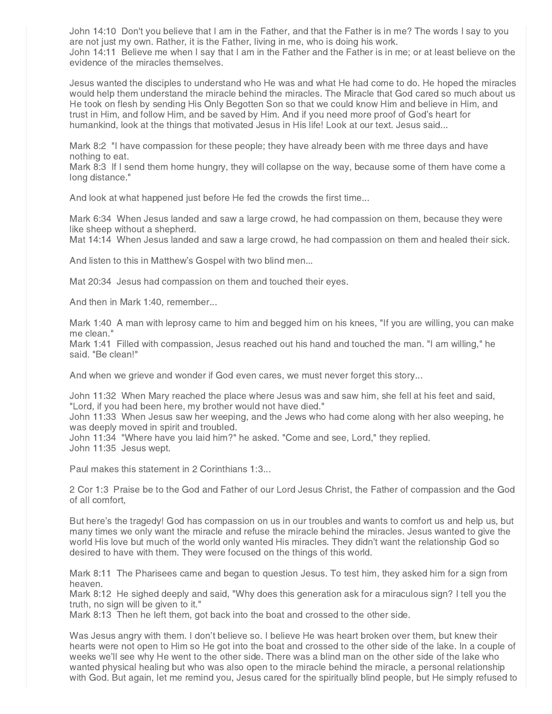John 14:10 Don't you believe that I am in the Father, and that the Father is in me? The words I say to you are not just my own. Rather, it is the Father, living in me, who is doing his work. John 14:11 Believe me when I say that I am in the Father and the Father is in me; or at least believe on the evidence of the miracles themselves.

Jesus wanted the disciples to understand who He was and what He had come to do. He hoped the miracles would help them understand the miracle behind the miracles. The Miracle that God cared so much about us He took on flesh by sending His Only Begotten Son so that we could know Him and believe in Him, and trust in Him, and follow Him, and be saved by Him. And if you need more proof of God's heart for humankind, look at the things that motivated Jesus in His life! Look at our text. Jesus said...

Mark 8:2 "I have compassion for these people; they have already been with me three days and have nothing to eat.

Mark 8:3 If I send them home hungry, they will collapse on the way, because some of them have come a long distance."

And look at what happened just before He fed the crowds the first time...

Mark 6:34 When Jesus landed and saw a large crowd, he had compassion on them, because they were like sheep without a shepherd.

Mat 14:14 When Jesus landed and saw a large crowd, he had compassion on them and healed their sick.

And listen to this in Matthew's Gospel with two blind men...

Mat 20:34 Jesus had compassion on them and touched their eyes.

And then in Mark 1:40, remember...

Mark 1:40 A man with leprosy came to him and begged him on his knees, "If you are willing, you can make me clean."

Mark 1:41 Filled with compassion, Jesus reached out his hand and touched the man. "I am willing," he said. "Be clean!"

And when we grieve and wonder if God even cares, we must never forget this story...

John 11:32 When Mary reached the place where Jesus was and saw him, she fell at his feet and said, "Lord, if you had been here, my brother would not have died."

John 11:33 When Jesus saw her weeping, and the Jews who had come along with her also weeping, he was deeply moved in spirit and troubled.

John 11:34 "Where have you laid him?" he asked. "Come and see, Lord," they replied. John 11:35 Jesus wept.

Paul makes this statement in 2 Corinthians 1:3...

2 Cor 1:3 Praise be to the God and Father of our Lord Jesus Christ, the Father of compassion and the God of all comfort,

But here's the tragedy! God has compassion on us in our troubles and wants to comfort us and help us, but many times we only want the miracle and refuse the miracle behind the miracles. Jesus wanted to give the world His love but much of the world only wanted His miracles. They didn't want the relationship God so desired to have with them. They were focused on the things of this world.

Mark 8:11 The Pharisees came and began to question Jesus. To test him, they asked him for a sign from heaven.

Mark 8:12 He sighed deeply and said, "Why does this generation ask for a miraculous sign? I tell you the truth, no sign will be given to it."

Mark 8:13 Then he left them, got back into the boat and crossed to the other side.

Was Jesus angry with them. I don't believe so. I believe He was heart broken over them, but knew their hearts were not open to Him so He got into the boat and crossed to the other side of the lake. In a couple of weeks we'll see why He went to the other side. There was a blind man on the other side of the lake who wanted physical healing but who was also open to the miracle behind the miracle, a personal relationship with God. But again, let me remind you, Jesus cared for the spiritually blind people, but He simply refused to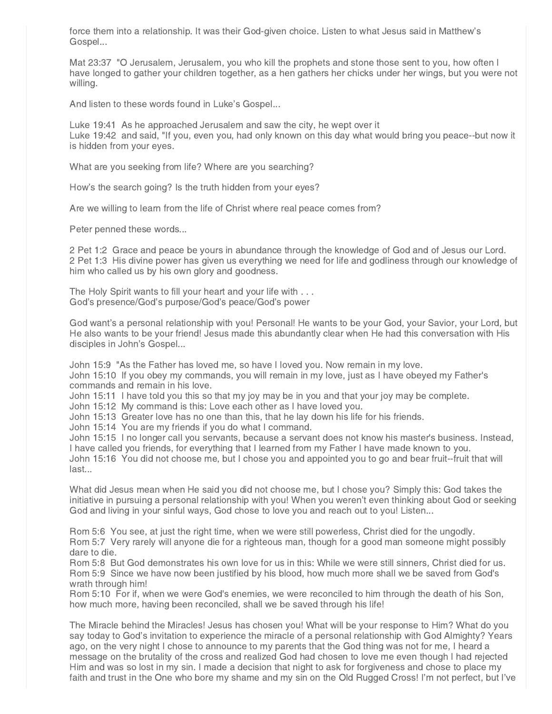force them into a relationship. It was their God-given choice. Listen to what Jesus said in Matthew's Gospel...

Mat 23:37 "O Jerusalem, Jerusalem, you who kill the prophets and stone those sent to you, how often I have longed to gather your children together, as a hen gathers her chicks under her wings, but you were not willing.

And listen to these words found in Luke's Gospel...

Luke 19:41 As he approached Jerusalem and saw the city, he wept over it Luke 19:42 and said, "If you, even you, had only known on this day what would bring you peace--but now it is hidden from your eyes.

What are you seeking from life? Where are you searching?

How's the search going? Is the truth hidden from your eyes?

Are we willing to learn from the life of Christ where real peace comes from?

Peter penned these words...

2 Pet 1:2 Grace and peace be yours in abundance through the knowledge of God and of Jesus our Lord. 2 Pet 1:3 His divine power has given us everything we need for life and godliness through our knowledge of him who called us by his own glory and goodness.

The Holy Spirit wants to fill your heart and your life with . . . God's presence/God's purpose/God's peace/God's power

God want's a personal relationship with you! Personal! He wants to be your God, your Savior, your Lord, but He also wants to be your friend! Jesus made this abundantly clear when He had this conversation with His disciples in John's Gospel...

John 15:9 "As the Father has loved me, so have I loved you. Now remain in my love. John 15:10 If you obey my commands, you will remain in my love, just as I have obeyed my Father's commands and remain in his love.

John 15:11 I have told you this so that my joy may be in you and that your joy may be complete.

John 15:12 My command is this: Love each other as I have loved you.

John 15:13 Greater love has no one than this, that he lay down his life for his friends.

John 15:14 You are my friends if you do what I command.

John 15:15 I no longer call you servants, because a servant does not know his master's business. Instead, I have called you friends, for everything that I learned from my Father I have made known to you.

John 15:16 You did not choose me, but I chose you and appointed you to go and bear fruit--fruit that will last...

What did Jesus mean when He said you did not choose me, but I chose you? Simply this: God takes the initiative in pursuing a personal relationship with you! When you weren't even thinking about God or seeking God and living in your sinful ways, God chose to love you and reach out to you! Listen...

Rom 5:6 You see, at just the right time, when we were still powerless, Christ died for the ungodly. Rom 5:7 Very rarely will anyone die for a righteous man, though for a good man someone might possibly dare to die.

Rom 5:8 But God demonstrates his own love for us in this: While we were still sinners, Christ died for us. Rom 5:9 Since we have now been justified by his blood, how much more shall we be saved from God's wrath through him!

Rom 5:10 For if, when we were God's enemies, we were reconciled to him through the death of his Son, how much more, having been reconciled, shall we be saved through his life!

The Miracle behind the Miracles! Jesus has chosen you! What will be your response to Him? What do you say today to God's invitation to experience the miracle of a personal relationship with God Almighty? Years ago, on the very night I chose to announce to my parents that the God thing was not for me, I heard a message on the brutality of the cross and realized God had chosen to love me even though I had rejected Him and was so lost in my sin. I made a decision that night to ask for forgiveness and chose to place my faith and trust in the One who bore my shame and my sin on the Old Rugged Cross! I'm not perfect, but I've